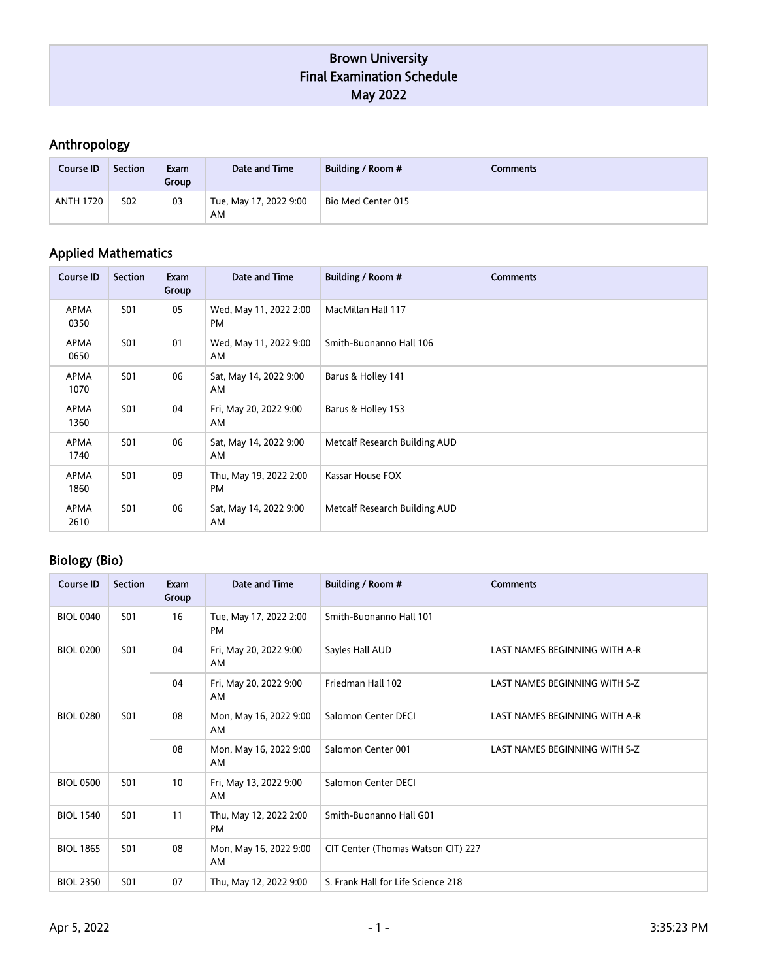# Anthropology

| Course <b>ID</b> | Section    | Exam<br>Group | Date and Time                | Building / Room #  | Comments |
|------------------|------------|---------------|------------------------------|--------------------|----------|
| <b>ANTH 1720</b> | <b>S02</b> | 03            | Tue, May 17, 2022 9:00<br>AM | Bio Med Center 015 |          |

# Applied Mathematics

| <b>Course ID</b> | <b>Section</b> | Exam<br>Group | Date and Time                       | Building / Room #             | <b>Comments</b> |
|------------------|----------------|---------------|-------------------------------------|-------------------------------|-----------------|
| APMA<br>0350     | <b>S01</b>     | 05            | Wed, May 11, 2022 2:00<br>PM        | MacMillan Hall 117            |                 |
| APMA<br>0650     | <b>S01</b>     | 01            | Wed, May 11, 2022 9:00<br>AM.       | Smith-Buonanno Hall 106       |                 |
| APMA<br>1070     | <b>S01</b>     | 06            | Sat, May 14, 2022 9:00<br>AM.       | Barus & Holley 141            |                 |
| APMA<br>1360     | <b>S01</b>     | 04            | Fri, May 20, 2022 9:00<br>AM.       | Barus & Holley 153            |                 |
| APMA<br>1740     | <b>S01</b>     | 06            | Sat, May 14, 2022 9:00<br>AM        | Metcalf Research Building AUD |                 |
| APMA<br>1860     | <b>S01</b>     | 09            | Thu, May 19, 2022 2:00<br><b>PM</b> | Kassar House FOX              |                 |
| APMA<br>2610     | <b>S01</b>     | 06            | Sat, May 14, 2022 9:00<br>AM        | Metcalf Research Building AUD |                 |

## Biology (Bio)

| <b>Course ID</b> | <b>Section</b> | Exam<br>Group | Date and Time                       | Building / Room #                  | <b>Comments</b>               |  |  |  |    |                              |                     |                               |
|------------------|----------------|---------------|-------------------------------------|------------------------------------|-------------------------------|--|--|--|----|------------------------------|---------------------|-------------------------------|
| <b>BIOL 0040</b> | <b>S01</b>     | 16            | Tue, May 17, 2022 2:00<br>PM        | Smith-Buonanno Hall 101            |                               |  |  |  |    |                              |                     |                               |
| <b>BIOL 0200</b> | <b>S01</b>     | 04            | Fri, May 20, 2022 9:00<br>AM        | Sayles Hall AUD                    | LAST NAMES BEGINNING WITH A-R |  |  |  |    |                              |                     |                               |
|                  |                | 04            | Fri, May 20, 2022 9:00<br>AM        | Friedman Hall 102                  | LAST NAMES BEGINNING WITH S-Z |  |  |  |    |                              |                     |                               |
| <b>BIOL 0280</b> | <b>S01</b>     |               |                                     |                                    |                               |  |  |  | 08 | Mon, May 16, 2022 9:00<br>AM | Salomon Center DECI | LAST NAMES BEGINNING WITH A-R |
|                  |                | 08            | Mon, May 16, 2022 9:00<br>AM.       | Salomon Center 001                 | LAST NAMES BEGINNING WITH S-Z |  |  |  |    |                              |                     |                               |
| <b>BIOL 0500</b> | <b>S01</b>     | 10            | Fri, May 13, 2022 9:00<br>AM.       | Salomon Center DECI                |                               |  |  |  |    |                              |                     |                               |
| <b>BIOL 1540</b> | <b>S01</b>     | 11            | Thu, May 12, 2022 2:00<br><b>PM</b> | Smith-Buonanno Hall G01            |                               |  |  |  |    |                              |                     |                               |
| <b>BIOL 1865</b> | <b>S01</b>     | 08            | Mon, May 16, 2022 9:00<br>AM        | CIT Center (Thomas Watson CIT) 227 |                               |  |  |  |    |                              |                     |                               |
| <b>BIOL 2350</b> | <b>S01</b>     | 07            | Thu, May 12, 2022 9:00              | S. Frank Hall for Life Science 218 |                               |  |  |  |    |                              |                     |                               |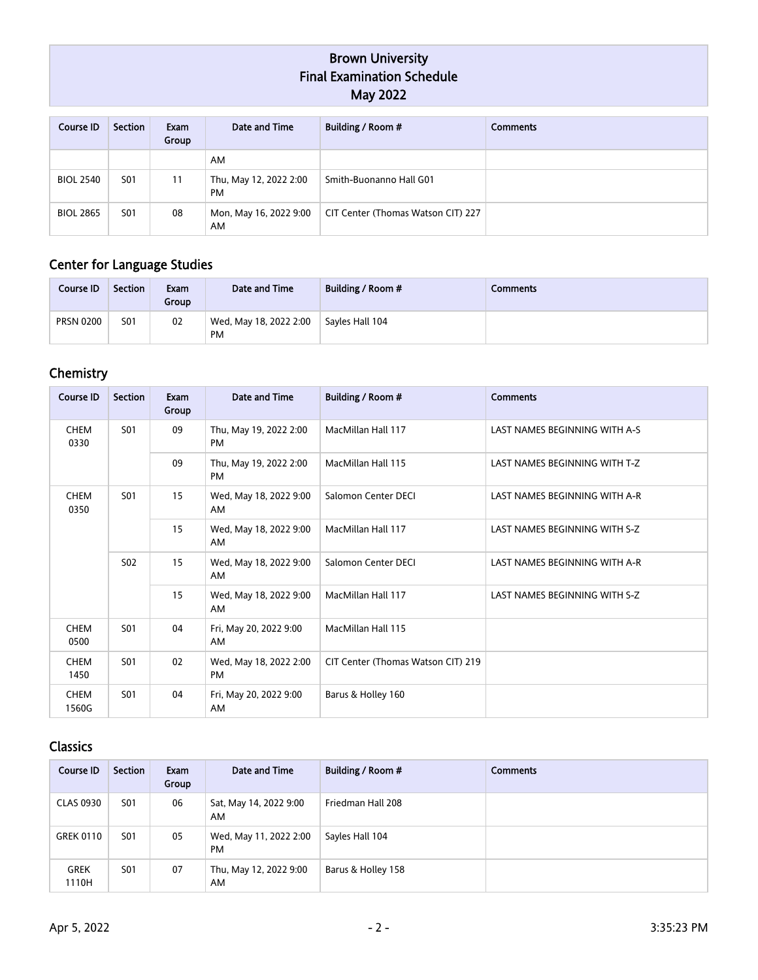| Course ID        | Section         | Exam<br>Group | Date and Time                       | Building / Room #                  | <b>Comments</b> |
|------------------|-----------------|---------------|-------------------------------------|------------------------------------|-----------------|
|                  |                 |               | AM                                  |                                    |                 |
| <b>BIOL 2540</b> | <b>S01</b>      | 11            | Thu, May 12, 2022 2:00<br><b>PM</b> | Smith-Buonanno Hall G01            |                 |
| <b>BIOL 2865</b> | S <sub>01</sub> | 08            | Mon, May 16, 2022 9:00<br>AM        | CIT Center (Thomas Watson CIT) 227 |                 |

### Center for Language Studies

| Course ID        | <b>Section</b> | Exam<br>Group | Date and Time                       | Building / Room # | Comments |
|------------------|----------------|---------------|-------------------------------------|-------------------|----------|
| <b>PRSN 0200</b> | <b>S01</b>     | 02            | Wed, May 18, 2022 2:00<br><b>PM</b> | Sayles Hall 104   |          |

## **Chemistry**

| <b>Course ID</b>     | <b>Section</b>  | Exam<br>Group | Date and Time                       | Building / Room #                  | <b>Comments</b>               |                               |
|----------------------|-----------------|---------------|-------------------------------------|------------------------------------|-------------------------------|-------------------------------|
| <b>CHEM</b><br>0330  | S <sub>01</sub> | 09            | Thu, May 19, 2022 2:00<br><b>PM</b> | MacMillan Hall 117                 | LAST NAMES BEGINNING WITH A-S |                               |
|                      |                 | 09            | Thu, May 19, 2022 2:00<br><b>PM</b> | MacMillan Hall 115                 | LAST NAMES BEGINNING WITH T-Z |                               |
| <b>CHEM</b><br>0350  | <b>S01</b>      | 15            | Wed, May 18, 2022 9:00<br>AM        | Salomon Center DECI                | LAST NAMES BEGINNING WITH A-R |                               |
|                      |                 | 15            | Wed, May 18, 2022 9:00<br>AM        | MacMillan Hall 117                 | LAST NAMES BEGINNING WITH S-Z |                               |
|                      | S <sub>02</sub> |               | 15                                  | Wed, May 18, 2022 9:00<br>AM       | Salomon Center DECI           | LAST NAMES BEGINNING WITH A-R |
|                      |                 | 15            | Wed, May 18, 2022 9:00<br>AM        | MacMillan Hall 117                 | LAST NAMES BEGINNING WITH S-Z |                               |
| <b>CHEM</b><br>0500  | <b>S01</b>      | 04            | Fri, May 20, 2022 9:00<br>AM        | MacMillan Hall 115                 |                               |                               |
| <b>CHEM</b><br>1450  | <b>S01</b>      | 02            | Wed, May 18, 2022 2:00<br><b>PM</b> | CIT Center (Thomas Watson CIT) 219 |                               |                               |
| <b>CHEM</b><br>1560G | <b>S01</b>      | 04            | Fri, May 20, 2022 9:00<br>AM        | Barus & Holley 160                 |                               |                               |

## Classics

| Course <b>ID</b>     | Section    | Exam<br>Group | Date and Time                | Building / Room #  | <b>Comments</b> |
|----------------------|------------|---------------|------------------------------|--------------------|-----------------|
| <b>CLAS 0930</b>     | <b>S01</b> | 06            | Sat, May 14, 2022 9:00<br>AM | Friedman Hall 208  |                 |
| <b>GREK 0110</b>     | <b>S01</b> | 05            | Wed, May 11, 2022 2:00<br>PM | Sayles Hall 104    |                 |
| <b>GREK</b><br>1110H | <b>S01</b> | 07            | Thu, May 12, 2022 9:00<br>AM | Barus & Holley 158 |                 |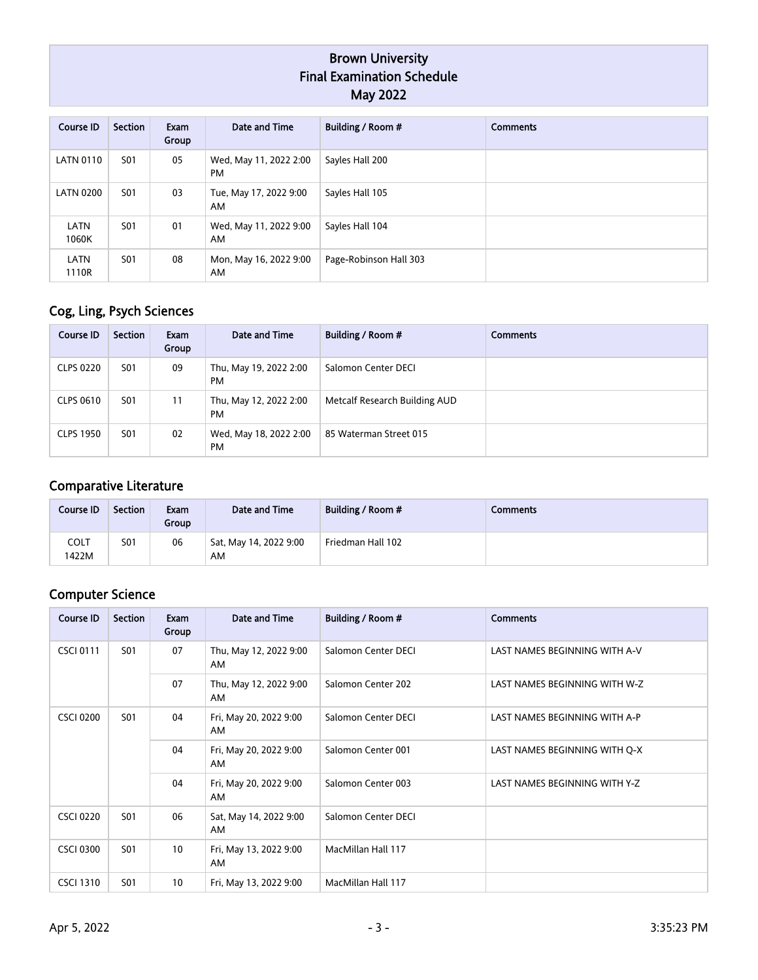| Course ID        | Section    | Exam<br>Group | Date and Time                | Building / Room #      | <b>Comments</b> |
|------------------|------------|---------------|------------------------------|------------------------|-----------------|
| <b>LATN 0110</b> | <b>S01</b> | 05            | Wed, May 11, 2022 2:00<br>PM | Sayles Hall 200        |                 |
| <b>LATN 0200</b> | <b>S01</b> | 03            | Tue, May 17, 2022 9:00<br>AM | Sayles Hall 105        |                 |
| LATN<br>1060K    | <b>S01</b> | 01            | Wed, May 11, 2022 9:00<br>AM | Sayles Hall 104        |                 |
| LATN<br>1110R    | <b>S01</b> | 08            | Mon, May 16, 2022 9:00<br>AM | Page-Robinson Hall 303 |                 |

# Cog, Ling, Psych Sciences

| Course ID        | Section    | Exam<br>Group | Date and Time                       | Building / Room #             | <b>Comments</b> |
|------------------|------------|---------------|-------------------------------------|-------------------------------|-----------------|
| <b>CLPS 0220</b> | <b>S01</b> | 09            | Thu, May 19, 2022 2:00<br><b>PM</b> | Salomon Center DECI           |                 |
| CLPS 0610        | <b>S01</b> | 11            | Thu, May 12, 2022 2:00<br>PM        | Metcalf Research Building AUD |                 |
| <b>CLPS 1950</b> | <b>S01</b> | 02            | Wed, May 18, 2022 2:00<br>PM        | 85 Waterman Street 015        |                 |

## Comparative Literature

| Course ID     | <b>Section</b> | Exam<br>Group | Date and Time                | Building / Room # | Comments |
|---------------|----------------|---------------|------------------------------|-------------------|----------|
| COLT<br>1422M | <b>S01</b>     | 06            | Sat, May 14, 2022 9:00<br>AM | Friedman Hall 102 |          |

## Computer Science

| <b>Course ID</b>               | Section    | Exam<br>Group | Date and Time                 | Building / Room #             | <b>Comments</b>               |
|--------------------------------|------------|---------------|-------------------------------|-------------------------------|-------------------------------|
| <b>CSCI 0111</b>               | <b>S01</b> | 07            | Thu, May 12, 2022 9:00<br>AM. | Salomon Center DECI           | LAST NAMES BEGINNING WITH A-V |
|                                |            | 07            | Thu, May 12, 2022 9:00<br>AM. | Salomon Center 202            | LAST NAMES BEGINNING WITH W-Z |
| <b>S01</b><br><b>CSCI 0200</b> |            | 04            | Fri, May 20, 2022 9:00<br>AM. | Salomon Center DECI           | LAST NAMES BEGINNING WITH A-P |
|                                |            |               | 04                            | Fri, May 20, 2022 9:00<br>AM  | Salomon Center 001            |
|                                |            |               | 04                            | Fri, May 20, 2022 9:00<br>AM. | Salomon Center 003            |
| <b>CSCI 0220</b>               | <b>S01</b> | 06            | Sat, May 14, 2022 9:00<br>AM. | Salomon Center DECI           |                               |
| <b>CSCI 0300</b>               | <b>S01</b> | 10            | Fri, May 13, 2022 9:00<br>AM. | MacMillan Hall 117            |                               |
| <b>CSCI 1310</b>               | <b>S01</b> | 10            | Fri, May 13, 2022 9:00        | MacMillan Hall 117            |                               |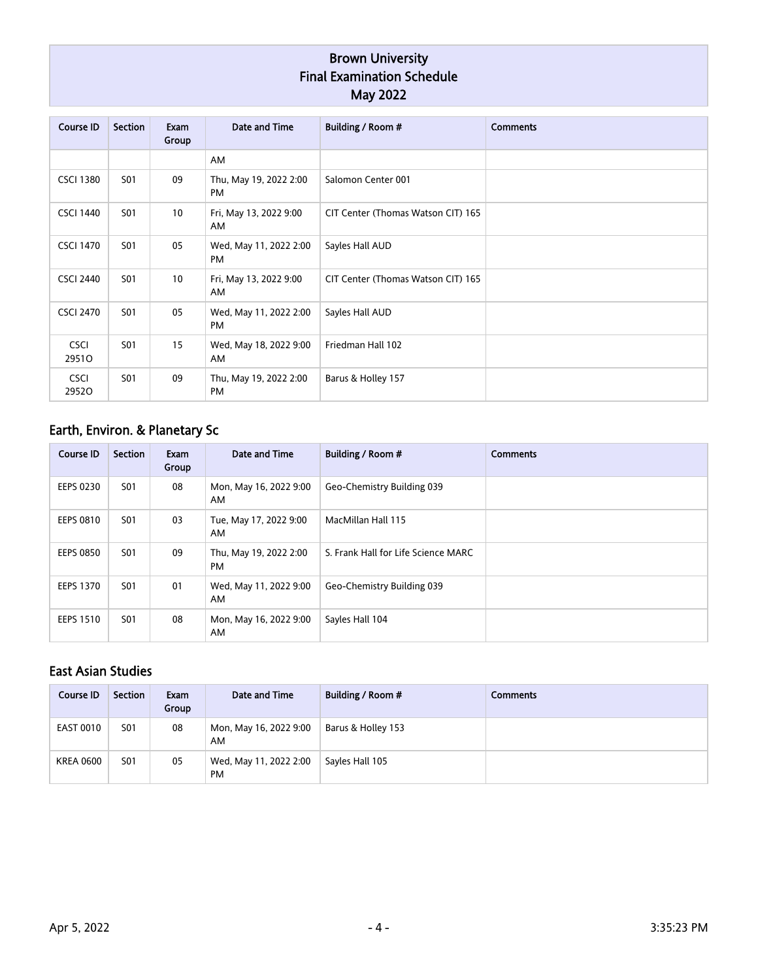| <b>Course ID</b>     | Section    | Exam<br>Group | Date and Time                       | Building / Room #                  | <b>Comments</b> |
|----------------------|------------|---------------|-------------------------------------|------------------------------------|-----------------|
|                      |            |               | AM                                  |                                    |                 |
| <b>CSCI 1380</b>     | <b>S01</b> | 09            | Thu, May 19, 2022 2:00<br><b>PM</b> | Salomon Center 001                 |                 |
| <b>CSCI 1440</b>     | <b>S01</b> | 10            | Fri, May 13, 2022 9:00<br>AM        | CIT Center (Thomas Watson CIT) 165 |                 |
| <b>CSCI 1470</b>     | <b>S01</b> | 05            | Wed, May 11, 2022 2:00<br><b>PM</b> | Sayles Hall AUD                    |                 |
| <b>CSCI 2440</b>     | S01        | 10            | Fri, May 13, 2022 9:00<br>AM        | CIT Center (Thomas Watson CIT) 165 |                 |
| <b>CSCI 2470</b>     | <b>S01</b> | 05            | Wed, May 11, 2022 2:00<br><b>PM</b> | Sayles Hall AUD                    |                 |
| <b>CSCI</b><br>29510 | <b>S01</b> | 15            | Wed, May 18, 2022 9:00<br>AM        | Friedman Hall 102                  |                 |
| <b>CSCI</b><br>29520 | <b>S01</b> | 09            | Thu, May 19, 2022 2:00<br><b>PM</b> | Barus & Holley 157                 |                 |

# Earth, Environ. & Planetary Sc

| <b>Course ID</b> | Section | Exam<br>Group | Date and Time                       | Building / Room #                   | <b>Comments</b> |
|------------------|---------|---------------|-------------------------------------|-------------------------------------|-----------------|
| <b>EEPS 0230</b> | S01     | 08            | Mon, May 16, 2022 9:00<br>AM        | Geo-Chemistry Building 039          |                 |
| <b>EEPS 0810</b> | S01     | 03            | Tue, May 17, 2022 9:00<br>AM.       | MacMillan Hall 115                  |                 |
| <b>EEPS 0850</b> | S01     | 09            | Thu, May 19, 2022 2:00<br><b>PM</b> | S. Frank Hall for Life Science MARC |                 |
| <b>EEPS 1370</b> | S01     | 01            | Wed, May 11, 2022 9:00<br>AM        | Geo-Chemistry Building 039          |                 |
| <b>EEPS 1510</b> | S01     | 08            | Mon, May 16, 2022 9:00<br>AM        | Sayles Hall 104                     |                 |

## East Asian Studies

| Course ID        | Section    | Exam<br>Group | Date and Time                       | <b>Building / Room #</b> | <b>Comments</b> |
|------------------|------------|---------------|-------------------------------------|--------------------------|-----------------|
| <b>EAST 0010</b> | <b>S01</b> | 08            | Mon, May 16, 2022 9:00<br>AM        | Barus & Holley 153       |                 |
| <b>KREA 0600</b> | <b>S01</b> | 05            | Wed, May 11, 2022 2:00<br><b>PM</b> | Sayles Hall 105          |                 |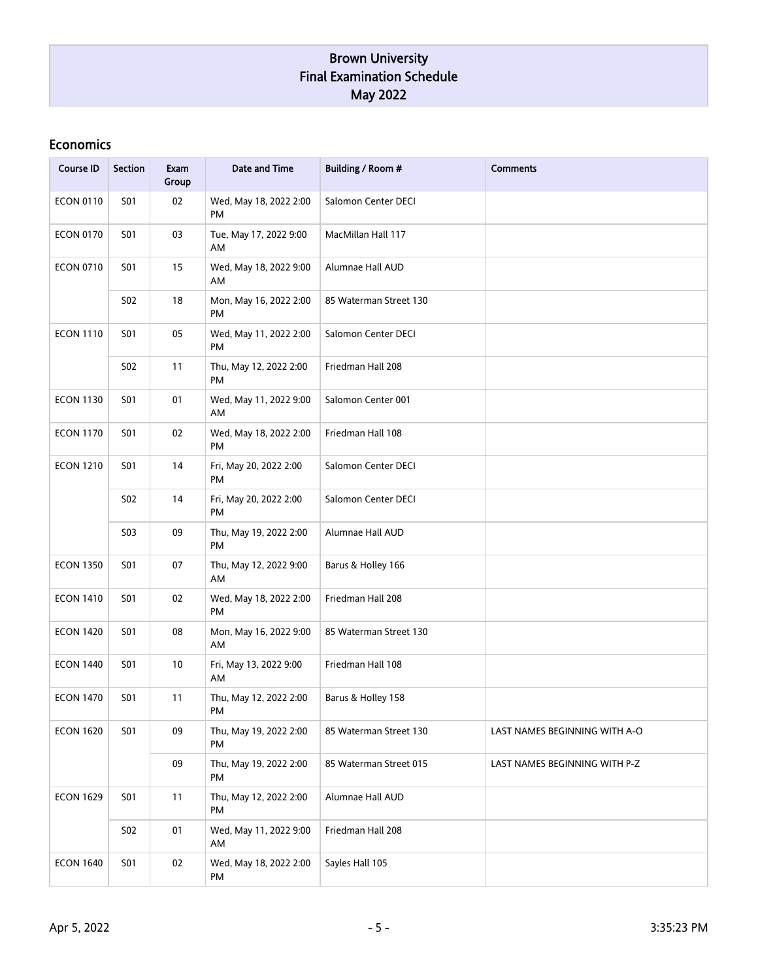#### Economics

| <b>Course ID</b> | <b>Section</b> | Exam<br>Group | Date and Time                | Building / Room #      | <b>Comments</b>               |
|------------------|----------------|---------------|------------------------------|------------------------|-------------------------------|
| <b>ECON 0110</b> | <b>S01</b>     | 02            | Wed, May 18, 2022 2:00<br>PM | Salomon Center DECI    |                               |
| <b>ECON 0170</b> | <b>S01</b>     | 03            | Tue, May 17, 2022 9:00<br>AM | MacMillan Hall 117     |                               |
| <b>ECON 0710</b> | <b>S01</b>     | 15            | Wed, May 18, 2022 9:00<br>AM | Alumnae Hall AUD       |                               |
|                  | S02            | 18            | Mon, May 16, 2022 2:00<br>PM | 85 Waterman Street 130 |                               |
| <b>ECON 1110</b> | <b>S01</b>     | 05            | Wed, May 11, 2022 2:00<br>PM | Salomon Center DECI    |                               |
|                  | S02            | 11            | Thu, May 12, 2022 2:00<br>PM | Friedman Hall 208      |                               |
| <b>ECON 1130</b> | <b>S01</b>     | 01            | Wed, May 11, 2022 9:00<br>AM | Salomon Center 001     |                               |
| <b>ECON 1170</b> | <b>S01</b>     | 02            | Wed, May 18, 2022 2:00<br>PM | Friedman Hall 108      |                               |
| <b>ECON 1210</b> | <b>S01</b>     | 14            | Fri, May 20, 2022 2:00<br>PM | Salomon Center DECI    |                               |
|                  | <b>S02</b>     | 14            | Fri, May 20, 2022 2:00<br>PM | Salomon Center DECI    |                               |
|                  | S03            | 09            | Thu, May 19, 2022 2:00<br>PM | Alumnae Hall AUD       |                               |
| <b>ECON 1350</b> | <b>S01</b>     | 07            | Thu, May 12, 2022 9:00<br>AM | Barus & Holley 166     |                               |
| <b>ECON 1410</b> | <b>S01</b>     | 02            | Wed, May 18, 2022 2:00<br>PM | Friedman Hall 208      |                               |
| <b>ECON 1420</b> | <b>S01</b>     | 08            | Mon, May 16, 2022 9:00<br>AM | 85 Waterman Street 130 |                               |
| <b>ECON 1440</b> | <b>S01</b>     | 10            | Fri, May 13, 2022 9:00<br>AM | Friedman Hall 108      |                               |
| <b>ECON 1470</b> | S01            | 11            | Thu, May 12, 2022 2:00<br>PM | Barus & Holley 158     |                               |
| <b>ECON 1620</b> | <b>S01</b>     | 09            | Thu, May 19, 2022 2:00<br>PM | 85 Waterman Street 130 | LAST NAMES BEGINNING WITH A-O |
|                  |                | 09            | Thu, May 19, 2022 2:00<br>PM | 85 Waterman Street 015 | LAST NAMES BEGINNING WITH P-Z |
| <b>ECON 1629</b> | <b>S01</b>     | 11            | Thu, May 12, 2022 2:00<br>PM | Alumnae Hall AUD       |                               |
|                  | <b>S02</b>     | 01            | Wed, May 11, 2022 9:00<br>AM | Friedman Hall 208      |                               |
| <b>ECON 1640</b> | <b>S01</b>     | 02            | Wed, May 18, 2022 2:00<br>PM | Sayles Hall 105        |                               |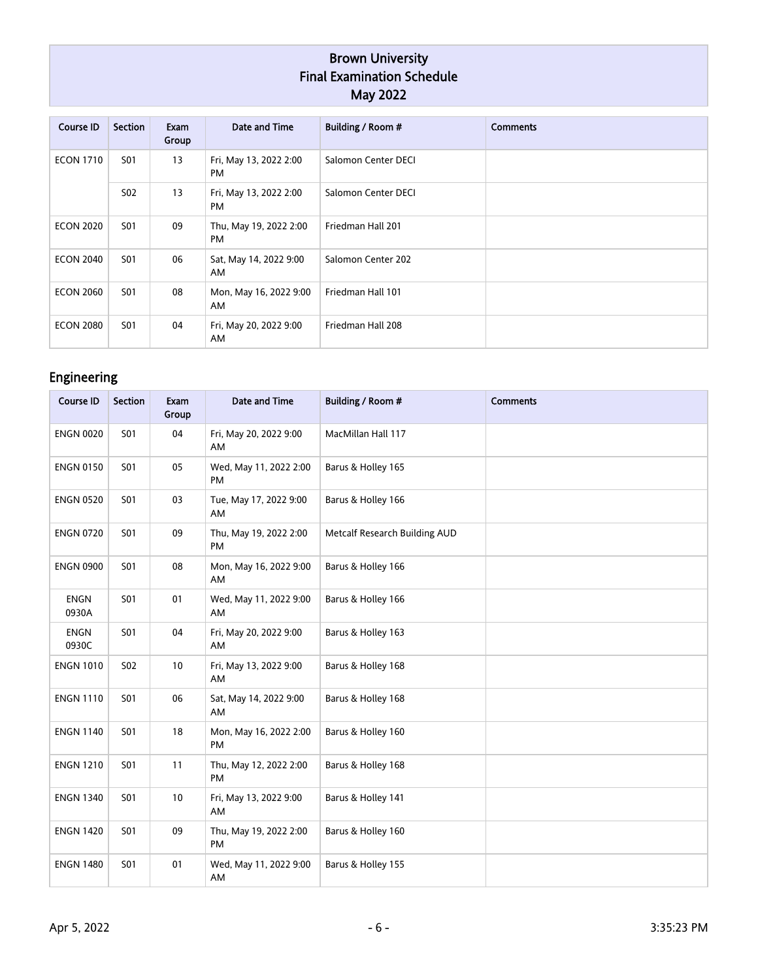| <b>Course ID</b> | Section          | Exam<br>Group | Date and Time                       | Building / Room #   | <b>Comments</b> |
|------------------|------------------|---------------|-------------------------------------|---------------------|-----------------|
| <b>ECON 1710</b> | S01              | 13            | Fri, May 13, 2022 2:00<br><b>PM</b> | Salomon Center DECI |                 |
|                  | S <sub>0</sub> 2 | 13            | Fri, May 13, 2022 2:00<br><b>PM</b> | Salomon Center DECI |                 |
| <b>ECON 2020</b> | S01              | 09            | Thu, May 19, 2022 2:00<br><b>PM</b> | Friedman Hall 201   |                 |
| <b>ECON 2040</b> | S01              | 06            | Sat, May 14, 2022 9:00<br>AM        | Salomon Center 202  |                 |
| <b>ECON 2060</b> | <b>S01</b>       | 08            | Mon, May 16, 2022 9:00<br>AM        | Friedman Hall 101   |                 |
| <b>ECON 2080</b> | S01              | 04            | Fri, May 20, 2022 9:00<br>AM        | Friedman Hall 208   |                 |

# Engineering

| <b>Course ID</b>     | <b>Section</b> | Exam<br>Group | Date and Time                       | Building / Room #             | <b>Comments</b> |
|----------------------|----------------|---------------|-------------------------------------|-------------------------------|-----------------|
| <b>ENGN 0020</b>     | <b>S01</b>     | 04            | Fri, May 20, 2022 9:00<br>AM        | MacMillan Hall 117            |                 |
| <b>ENGN 0150</b>     | <b>S01</b>     | 05            | Wed, May 11, 2022 2:00<br><b>PM</b> | Barus & Holley 165            |                 |
| <b>ENGN 0520</b>     | <b>S01</b>     | 03            | Tue, May 17, 2022 9:00<br>AM        | Barus & Holley 166            |                 |
| <b>ENGN 0720</b>     | <b>S01</b>     | 09            | Thu, May 19, 2022 2:00<br>PM        | Metcalf Research Building AUD |                 |
| <b>ENGN 0900</b>     | <b>S01</b>     | 08            | Mon, May 16, 2022 9:00<br>AM        | Barus & Holley 166            |                 |
| <b>ENGN</b><br>0930A | <b>S01</b>     | 01            | Wed, May 11, 2022 9:00<br>AM        | Barus & Holley 166            |                 |
| <b>ENGN</b><br>0930C | <b>S01</b>     | 04            | Fri, May 20, 2022 9:00<br>AM        | Barus & Holley 163            |                 |
| <b>ENGN 1010</b>     | <b>S02</b>     | 10            | Fri, May 13, 2022 9:00<br>AM        | Barus & Holley 168            |                 |
| <b>ENGN 1110</b>     | <b>S01</b>     | 06            | Sat, May 14, 2022 9:00<br>AM        | Barus & Holley 168            |                 |
| <b>ENGN 1140</b>     | <b>S01</b>     | 18            | Mon, May 16, 2022 2:00<br>PM        | Barus & Holley 160            |                 |
| <b>ENGN 1210</b>     | <b>S01</b>     | 11            | Thu, May 12, 2022 2:00<br><b>PM</b> | Barus & Holley 168            |                 |
| <b>ENGN 1340</b>     | <b>S01</b>     | 10            | Fri, May 13, 2022 9:00<br>AM        | Barus & Holley 141            |                 |
| <b>ENGN 1420</b>     | <b>S01</b>     | 09            | Thu, May 19, 2022 2:00<br><b>PM</b> | Barus & Holley 160            |                 |
| <b>ENGN 1480</b>     | <b>S01</b>     | 01            | Wed, May 11, 2022 9:00<br>AM        | Barus & Holley 155            |                 |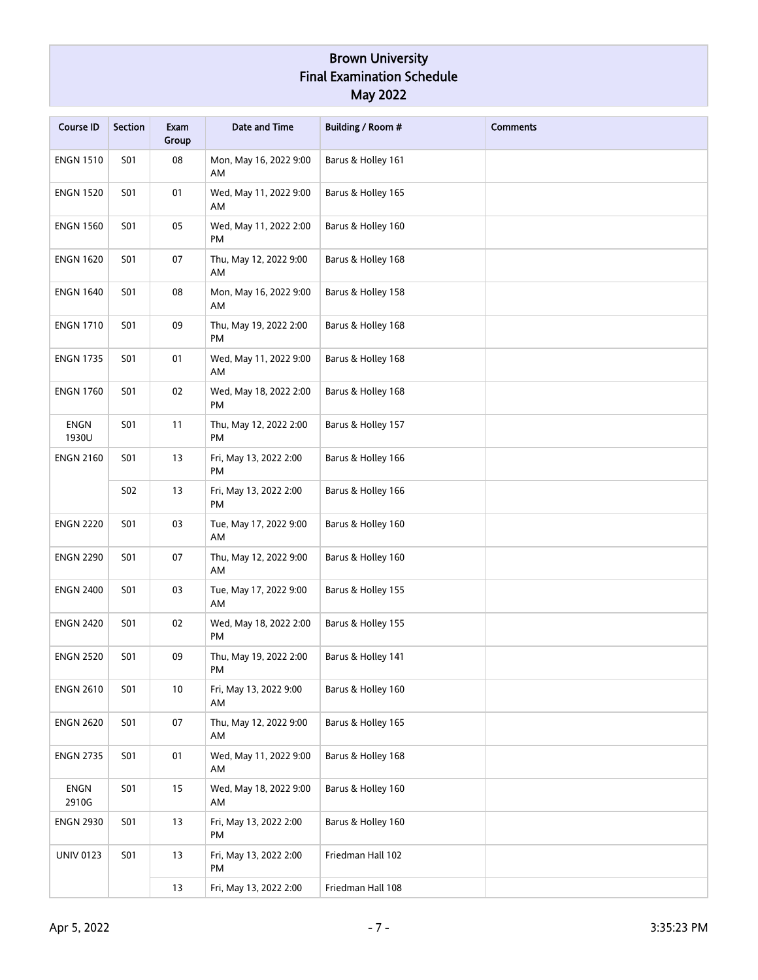| <b>Course ID</b>     | <b>Section</b> | Exam<br>Group | <b>Date and Time</b>                | Building / Room #  | <b>Comments</b> |
|----------------------|----------------|---------------|-------------------------------------|--------------------|-----------------|
| <b>ENGN 1510</b>     | <b>S01</b>     | 08            | Mon, May 16, 2022 9:00<br>AM        | Barus & Holley 161 |                 |
| <b>ENGN 1520</b>     | <b>S01</b>     | 01            | Wed, May 11, 2022 9:00<br>AM        | Barus & Holley 165 |                 |
| <b>ENGN 1560</b>     | <b>S01</b>     | 05            | Wed, May 11, 2022 2:00<br>PM        | Barus & Holley 160 |                 |
| <b>ENGN 1620</b>     | <b>S01</b>     | 07            | Thu, May 12, 2022 9:00<br>AM        | Barus & Holley 168 |                 |
| <b>ENGN 1640</b>     | <b>S01</b>     | 08            | Mon, May 16, 2022 9:00<br>AM        | Barus & Holley 158 |                 |
| <b>ENGN 1710</b>     | <b>S01</b>     | 09            | Thu, May 19, 2022 2:00<br>PM        | Barus & Holley 168 |                 |
| <b>ENGN 1735</b>     | <b>S01</b>     | 01            | Wed, May 11, 2022 9:00<br>AM        | Barus & Holley 168 |                 |
| <b>ENGN 1760</b>     | <b>S01</b>     | 02            | Wed, May 18, 2022 2:00<br>PM        | Barus & Holley 168 |                 |
| <b>ENGN</b><br>1930U | <b>S01</b>     | 11            | Thu, May 12, 2022 2:00<br>PM        | Barus & Holley 157 |                 |
| <b>ENGN 2160</b>     | <b>S01</b>     | 13            | Fri, May 13, 2022 2:00<br>PM        | Barus & Holley 166 |                 |
|                      | S02            | 13            | Fri, May 13, 2022 2:00<br><b>PM</b> | Barus & Holley 166 |                 |
| <b>ENGN 2220</b>     | <b>S01</b>     | 03            | Tue, May 17, 2022 9:00<br>AM        | Barus & Holley 160 |                 |
| <b>ENGN 2290</b>     | <b>S01</b>     | 07            | Thu, May 12, 2022 9:00<br>AM        | Barus & Holley 160 |                 |
| <b>ENGN 2400</b>     | <b>S01</b>     | 03            | Tue, May 17, 2022 9:00<br>AM        | Barus & Holley 155 |                 |
| <b>ENGN 2420</b>     | <b>S01</b>     | 02            | Wed, May 18, 2022 2:00<br><b>PM</b> | Barus & Holley 155 |                 |
| <b>ENGN 2520</b>     | <b>S01</b>     | 09            | Thu, May 19, 2022 2:00<br>PM        | Barus & Holley 141 |                 |
| <b>ENGN 2610</b>     | <b>S01</b>     | 10            | Fri, May 13, 2022 9:00<br>AM        | Barus & Holley 160 |                 |
| <b>ENGN 2620</b>     | <b>S01</b>     | 07            | Thu, May 12, 2022 9:00<br>AM        | Barus & Holley 165 |                 |
| <b>ENGN 2735</b>     | <b>S01</b>     | 01            | Wed, May 11, 2022 9:00<br>AM        | Barus & Holley 168 |                 |
| ENGN<br>2910G        | <b>S01</b>     | 15            | Wed, May 18, 2022 9:00<br>AM        | Barus & Holley 160 |                 |
| <b>ENGN 2930</b>     | <b>S01</b>     | 13            | Fri, May 13, 2022 2:00<br>PM        | Barus & Holley 160 |                 |
| <b>UNIV 0123</b>     | <b>S01</b>     | 13            | Fri, May 13, 2022 2:00<br>PM        | Friedman Hall 102  |                 |
|                      |                | 13            | Fri, May 13, 2022 2:00              | Friedman Hall 108  |                 |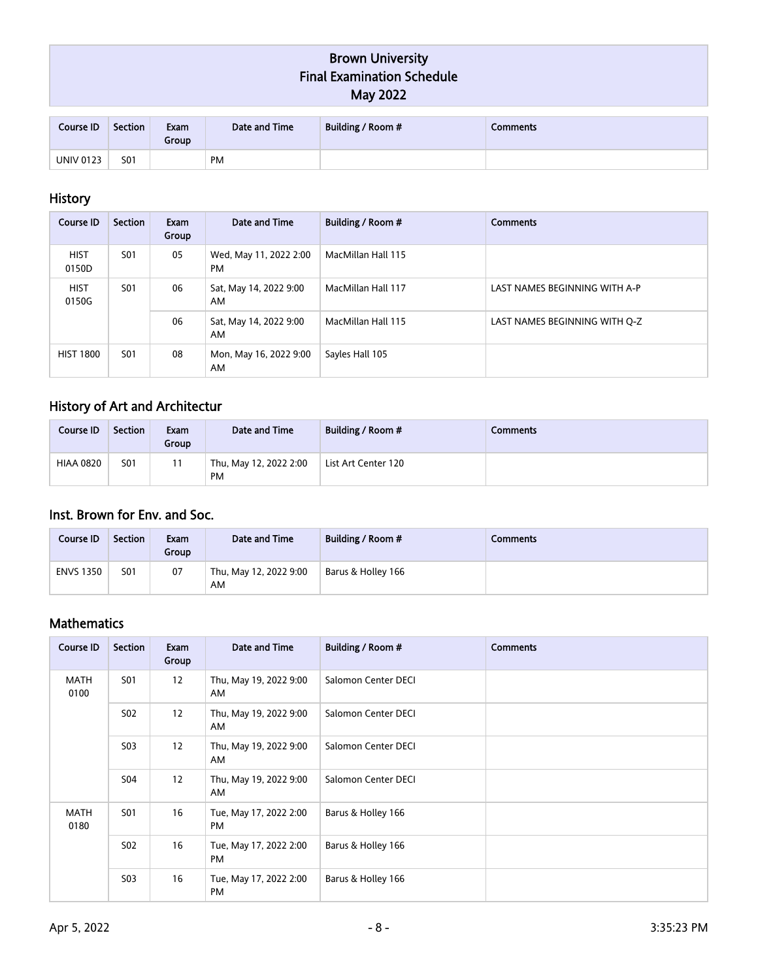| Course ID        | <b>Section</b> | Exam<br>Group | Date and Time | Building / Room # | <b>Comments</b> |
|------------------|----------------|---------------|---------------|-------------------|-----------------|
| <b>UNIV 0123</b> | <b>S01</b>     |               | PM            |                   |                 |

## History

| Course ID                          | Section    | Exam<br>Group | Date and Time                       | Building / Room #            | <b>Comments</b>               |                               |
|------------------------------------|------------|---------------|-------------------------------------|------------------------------|-------------------------------|-------------------------------|
| <b>HIST</b><br>0150D               | S01        | 05            | Wed, May 11, 2022 2:00<br><b>PM</b> | MacMillan Hall 115           |                               |                               |
| <b>HIST</b><br><b>S01</b><br>0150G |            |               | 06                                  | Sat, May 14, 2022 9:00<br>AM | MacMillan Hall 117            | LAST NAMES BEGINNING WITH A-P |
|                                    |            | 06            | Sat, May 14, 2022 9:00<br>AM        | MacMillan Hall 115           | LAST NAMES BEGINNING WITH Q-Z |                               |
| <b>HIST 1800</b>                   | <b>S01</b> | 08            | Mon, May 16, 2022 9:00<br>AM        | Sayles Hall 105              |                               |                               |

# History of Art and Architectur

| Course ID        | <b>Section</b>  | Exam<br>Group | Date and Time                | Building / Room #   | Comments |
|------------------|-----------------|---------------|------------------------------|---------------------|----------|
| <b>HIAA 0820</b> | S <sub>01</sub> |               | Thu, May 12, 2022 2:00<br>PM | List Art Center 120 |          |

## Inst. Brown for Env. and Soc.

| Course ID        | <b>Section</b> | Exam<br>Group | Date and Time                | Building / Room #  | Comments |
|------------------|----------------|---------------|------------------------------|--------------------|----------|
| <b>ENVS 1350</b> | <b>S01</b>     | 07            | Thu, May 12, 2022 9:00<br>AM | Barus & Holley 166 |          |

## Mathematics

| Course ID           | <b>Section</b>   | Exam<br>Group | Date and Time                       | Building / Room #   | <b>Comments</b> |
|---------------------|------------------|---------------|-------------------------------------|---------------------|-----------------|
| <b>MATH</b><br>0100 | <b>S01</b>       | 12            | Thu, May 19, 2022 9:00<br>AM        | Salomon Center DECI |                 |
|                     | S <sub>0</sub> 2 | 12            | Thu, May 19, 2022 9:00<br>AM        | Salomon Center DECI |                 |
|                     | S <sub>0</sub> 3 | 12            | Thu, May 19, 2022 9:00<br>AM.       | Salomon Center DECI |                 |
|                     | <b>S04</b>       | 12            | Thu, May 19, 2022 9:00<br>AM        | Salomon Center DECI |                 |
| <b>MATH</b><br>0180 | S01              | 16            | Tue, May 17, 2022 2:00<br>PM        | Barus & Holley 166  |                 |
|                     | <b>S02</b>       | 16            | Tue, May 17, 2022 2:00<br><b>PM</b> | Barus & Holley 166  |                 |
|                     | <b>S03</b>       | 16            | Tue, May 17, 2022 2:00<br><b>PM</b> | Barus & Holley 166  |                 |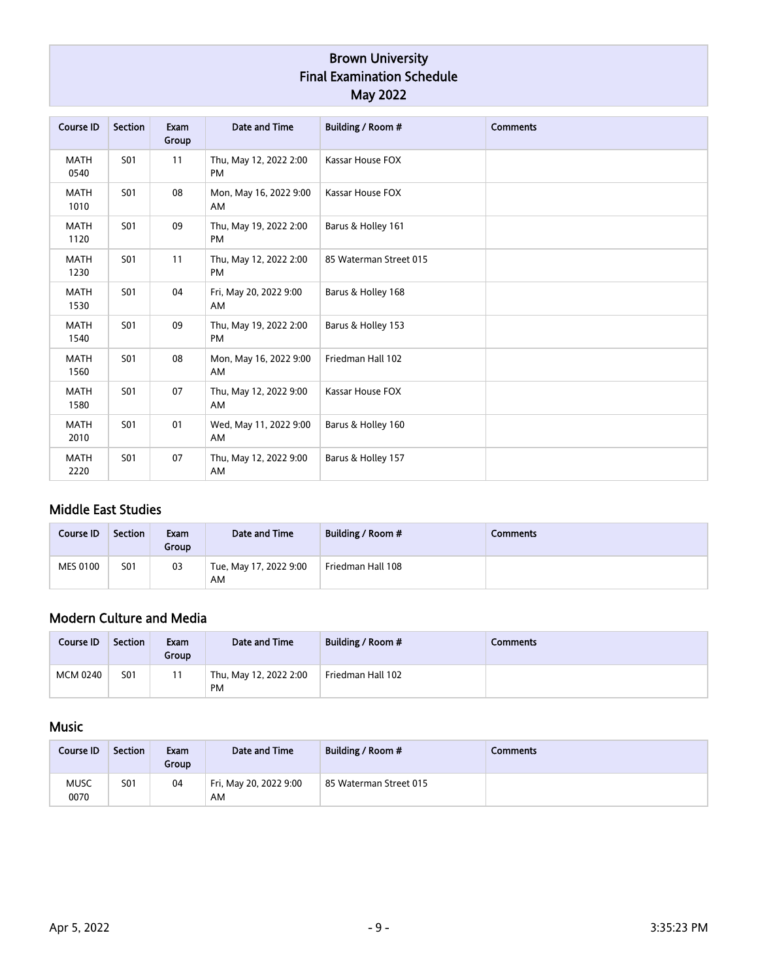| <b>Course ID</b>    | Section    | Exam<br>Group | Date and Time                | Building / Room #       | <b>Comments</b> |
|---------------------|------------|---------------|------------------------------|-------------------------|-----------------|
| <b>MATH</b><br>0540 | <b>S01</b> | 11            | Thu, May 12, 2022 2:00<br>PM | Kassar House FOX        |                 |
| <b>MATH</b><br>1010 | <b>S01</b> | 08            | Mon, May 16, 2022 9:00<br>AM | <b>Kassar House FOX</b> |                 |
| <b>MATH</b><br>1120 | <b>S01</b> | 09            | Thu, May 19, 2022 2:00<br>PM | Barus & Holley 161      |                 |
| <b>MATH</b><br>1230 | <b>S01</b> | 11            | Thu, May 12, 2022 2:00<br>PM | 85 Waterman Street 015  |                 |
| <b>MATH</b><br>1530 | <b>S01</b> | 04            | Fri, May 20, 2022 9:00<br>AM | Barus & Holley 168      |                 |
| <b>MATH</b><br>1540 | <b>S01</b> | 09            | Thu, May 19, 2022 2:00<br>PM | Barus & Holley 153      |                 |
| <b>MATH</b><br>1560 | <b>S01</b> | 08            | Mon, May 16, 2022 9:00<br>AM | Friedman Hall 102       |                 |
| <b>MATH</b><br>1580 | <b>S01</b> | 07            | Thu, May 12, 2022 9:00<br>AM | Kassar House FOX        |                 |
| <b>MATH</b><br>2010 | <b>S01</b> | 01            | Wed, May 11, 2022 9:00<br>AM | Barus & Holley 160      |                 |
| <b>MATH</b><br>2220 | <b>S01</b> | 07            | Thu, May 12, 2022 9:00<br>AM | Barus & Holley 157      |                 |

## Middle East Studies

| Course ID       | <b>Section</b> | Exam<br>Group | Date and Time                | Building / Room # | Comments |
|-----------------|----------------|---------------|------------------------------|-------------------|----------|
| <b>MES 0100</b> | <b>S01</b>     | 03            | Tue, May 17, 2022 9:00<br>AM | Friedman Hall 108 |          |

# Modern Culture and Media

| <b>Course ID</b> | <b>Section</b> | Exam<br>Group | Date and Time                       | Building / Room # | Comments |
|------------------|----------------|---------------|-------------------------------------|-------------------|----------|
| <b>MCM 0240</b>  | <b>S01</b>     | 11            | Thu, May 12, 2022 2:00<br><b>PM</b> | Friedman Hall 102 |          |

## Music

| Course ID           | <b>Section</b> | Exam<br>Group | Date and Time                | Building / Room #      | Comments |
|---------------------|----------------|---------------|------------------------------|------------------------|----------|
| <b>MUSC</b><br>0070 | <b>S01</b>     | 04            | Fri, May 20, 2022 9:00<br>AM | 85 Waterman Street 015 |          |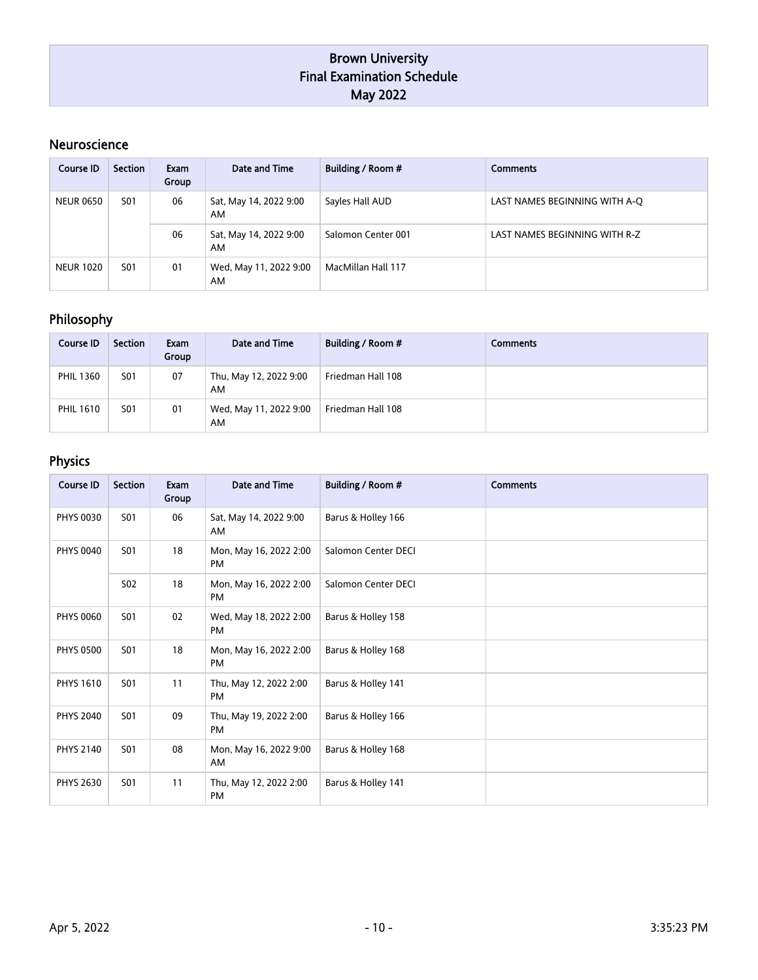### Neuroscience

| Course ID        | Section    | Exam<br>Group | Date and Time                | Building / Room #            | <b>Comments</b>               |                               |
|------------------|------------|---------------|------------------------------|------------------------------|-------------------------------|-------------------------------|
| <b>NEUR 0650</b> | <b>S01</b> | 06            | Sat, May 14, 2022 9:00<br>AM | Sayles Hall AUD              | LAST NAMES BEGINNING WITH A-Q |                               |
|                  |            |               | 06                           | Sat, May 14, 2022 9:00<br>AM | Salomon Center 001            | LAST NAMES BEGINNING WITH R-Z |
| <b>NEUR 1020</b> | <b>S01</b> | 01            | Wed, May 11, 2022 9:00<br>AM | MacMillan Hall 117           |                               |                               |

## Philosophy

| <b>Course ID</b> | <b>Section</b> | Exam<br>Group | Date and Time                | Building / Room # | Comments |
|------------------|----------------|---------------|------------------------------|-------------------|----------|
| <b>PHIL 1360</b> | <b>S01</b>     | 07            | Thu, May 12, 2022 9:00<br>AM | Friedman Hall 108 |          |
| <b>PHIL 1610</b> | <b>S01</b>     | 01            | Wed, May 11, 2022 9:00<br>AM | Friedman Hall 108 |          |

# Physics

| <b>Course ID</b> | <b>Section</b> | Exam<br>Group | Date and Time                       | Building / Room #   | <b>Comments</b> |
|------------------|----------------|---------------|-------------------------------------|---------------------|-----------------|
| <b>PHYS 0030</b> | <b>S01</b>     | 06            | Sat, May 14, 2022 9:00<br>AM        | Barus & Holley 166  |                 |
| <b>PHYS 0040</b> | <b>S01</b>     | 18            | Mon, May 16, 2022 2:00<br><b>PM</b> | Salomon Center DECI |                 |
|                  | <b>S02</b>     | 18            | Mon, May 16, 2022 2:00<br><b>PM</b> | Salomon Center DECI |                 |
| <b>PHYS 0060</b> | <b>S01</b>     | 02            | Wed, May 18, 2022 2:00<br>PM        | Barus & Holley 158  |                 |
| <b>PHYS 0500</b> | <b>S01</b>     | 18            | Mon, May 16, 2022 2:00<br>PM        | Barus & Holley 168  |                 |
| <b>PHYS 1610</b> | <b>S01</b>     | 11            | Thu, May 12, 2022 2:00<br><b>PM</b> | Barus & Holley 141  |                 |
| <b>PHYS 2040</b> | <b>S01</b>     | 09            | Thu, May 19, 2022 2:00<br><b>PM</b> | Barus & Holley 166  |                 |
| <b>PHYS 2140</b> | <b>S01</b>     | 08            | Mon, May 16, 2022 9:00<br>AM        | Barus & Holley 168  |                 |
| <b>PHYS 2630</b> | <b>S01</b>     | 11            | Thu, May 12, 2022 2:00<br><b>PM</b> | Barus & Holley 141  |                 |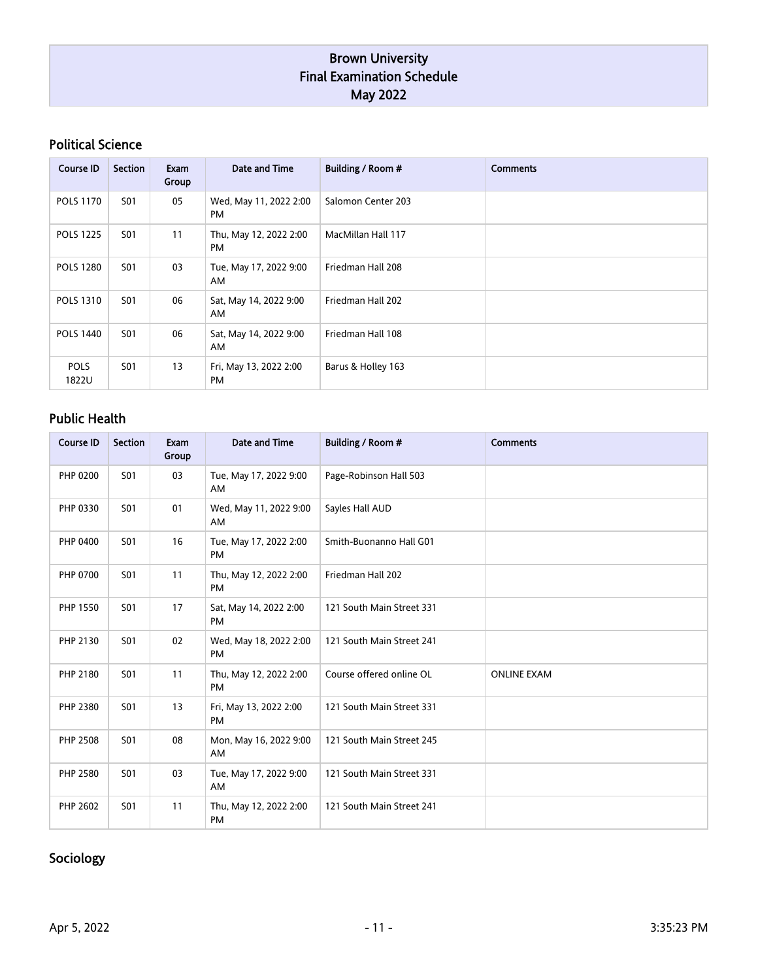### Political Science

| Course ID            | <b>Section</b> | Exam<br>Group | Date and Time                       | Building / Room #  | <b>Comments</b> |
|----------------------|----------------|---------------|-------------------------------------|--------------------|-----------------|
| <b>POLS 1170</b>     | S01            | 05            | Wed, May 11, 2022 2:00<br><b>PM</b> | Salomon Center 203 |                 |
| <b>POLS 1225</b>     | <b>S01</b>     | 11            | Thu, May 12, 2022 2:00<br><b>PM</b> | MacMillan Hall 117 |                 |
| <b>POLS 1280</b>     | S01            | 03            | Tue, May 17, 2022 9:00<br>AM        | Friedman Hall 208  |                 |
| <b>POLS 1310</b>     | <b>S01</b>     | 06            | Sat, May 14, 2022 9:00<br>AM        | Friedman Hall 202  |                 |
| <b>POLS 1440</b>     | S01            | 06            | Sat, May 14, 2022 9:00<br>AM        | Friedman Hall 108  |                 |
| <b>POLS</b><br>1822U | S01            | 13            | Fri, May 13, 2022 2:00<br><b>PM</b> | Barus & Holley 163 |                 |

## Public Health

| <b>Course ID</b> | <b>Section</b>  | Exam<br>Group | Date and Time                       | Building / Room #         | <b>Comments</b>    |
|------------------|-----------------|---------------|-------------------------------------|---------------------------|--------------------|
| PHP 0200         | <b>S01</b>      | 03            | Tue, May 17, 2022 9:00<br>AM        | Page-Robinson Hall 503    |                    |
| PHP 0330         | S <sub>01</sub> | 01            | Wed, May 11, 2022 9:00<br>AM        | Sayles Hall AUD           |                    |
| PHP 0400         | <b>S01</b>      | 16            | Tue, May 17, 2022 2:00<br>PM        | Smith-Buonanno Hall G01   |                    |
| <b>PHP 0700</b>  | <b>S01</b>      | 11            | Thu, May 12, 2022 2:00<br><b>PM</b> | Friedman Hall 202         |                    |
| <b>PHP 1550</b>  | <b>S01</b>      | 17            | Sat, May 14, 2022 2:00<br><b>PM</b> | 121 South Main Street 331 |                    |
| PHP 2130         | <b>S01</b>      | 02            | Wed, May 18, 2022 2:00<br>PM        | 121 South Main Street 241 |                    |
| PHP 2180         | <b>S01</b>      | 11            | Thu, May 12, 2022 2:00<br>PM        | Course offered online OL  | <b>ONLINE EXAM</b> |
| PHP 2380         | <b>S01</b>      | 13            | Fri, May 13, 2022 2:00<br>PM        | 121 South Main Street 331 |                    |
| <b>PHP 2508</b>  | <b>S01</b>      | 08            | Mon, May 16, 2022 9:00<br>AM        | 121 South Main Street 245 |                    |
| <b>PHP 2580</b>  | <b>S01</b>      | 03            | Tue, May 17, 2022 9:00<br>AM        | 121 South Main Street 331 |                    |
| PHP 2602         | <b>S01</b>      | 11            | Thu, May 12, 2022 2:00<br>PM        | 121 South Main Street 241 |                    |

## Sociology